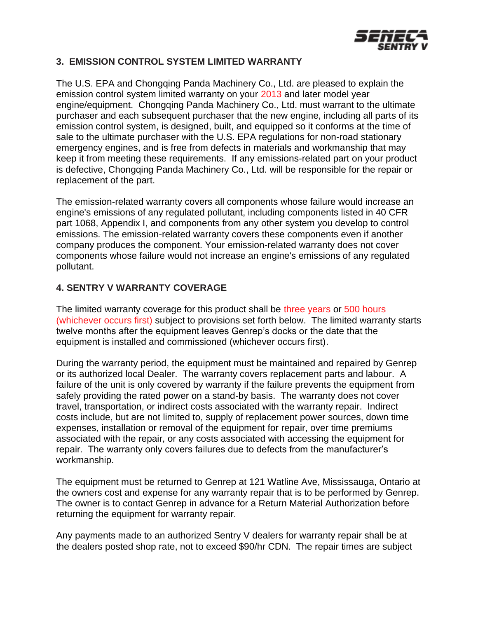

## **3. EMISSION CONTROL SYSTEM LIMITED WARRANTY**

The U.S. EPA and Chongqing Panda Machinery Co., Ltd. are pleased to explain the emission control system limited warranty on your 2013 and later model year engine/equipment. Chongqing Panda Machinery Co., Ltd. must warrant to the ultimate purchaser and each subsequent purchaser that the new engine, including all parts of its emission control system, is designed, built, and equipped so it conforms at the time of sale to the ultimate purchaser with the U.S. EPA regulations for non-road stationary emergency engines, and is free from defects in materials and workmanship that may keep it from meeting these requirements. If any emissions-related part on your product is defective, Chongqing Panda Machinery Co., Ltd. will be responsible for the repair or replacement of the part.

The emission-related warranty covers all components whose failure would increase an engine's emissions of any regulated pollutant, including components listed in 40 CFR part 1068, Appendix I, and components from any other system you develop to control emissions. The emission-related warranty covers these components even if another company produces the component. Your emission-related warranty does not cover components whose failure would not increase an engine's emissions of any regulated pollutant.

## **4. SENTRY V WARRANTY COVERAGE**

The limited warranty coverage for this product shall be three years or 500 hours (whichever occurs first) subject to provisions set forth below. The limited warranty starts twelve months after the equipment leaves Genrep's docks or the date that the equipment is installed and commissioned (whichever occurs first).

During the warranty period, the equipment must be maintained and repaired by Genrep or its authorized local Dealer. The warranty covers replacement parts and labour. A failure of the unit is only covered by warranty if the failure prevents the equipment from safely providing the rated power on a stand-by basis. The warranty does not cover travel, transportation, or indirect costs associated with the warranty repair. Indirect costs include, but are not limited to, supply of replacement power sources, down time expenses, installation or removal of the equipment for repair, over time premiums associated with the repair, or any costs associated with accessing the equipment for repair. The warranty only covers failures due to defects from the manufacturer's workmanship.

The equipment must be returned to Genrep at 121 Watline Ave, Mississauga, Ontario at the owners cost and expense for any warranty repair that is to be performed by Genrep. The owner is to contact Genrep in advance for a Return Material Authorization before returning the equipment for warranty repair.

Any payments made to an authorized Sentry V dealers for warranty repair shall be at the dealers posted shop rate, not to exceed \$90/hr CDN. The repair times are subject